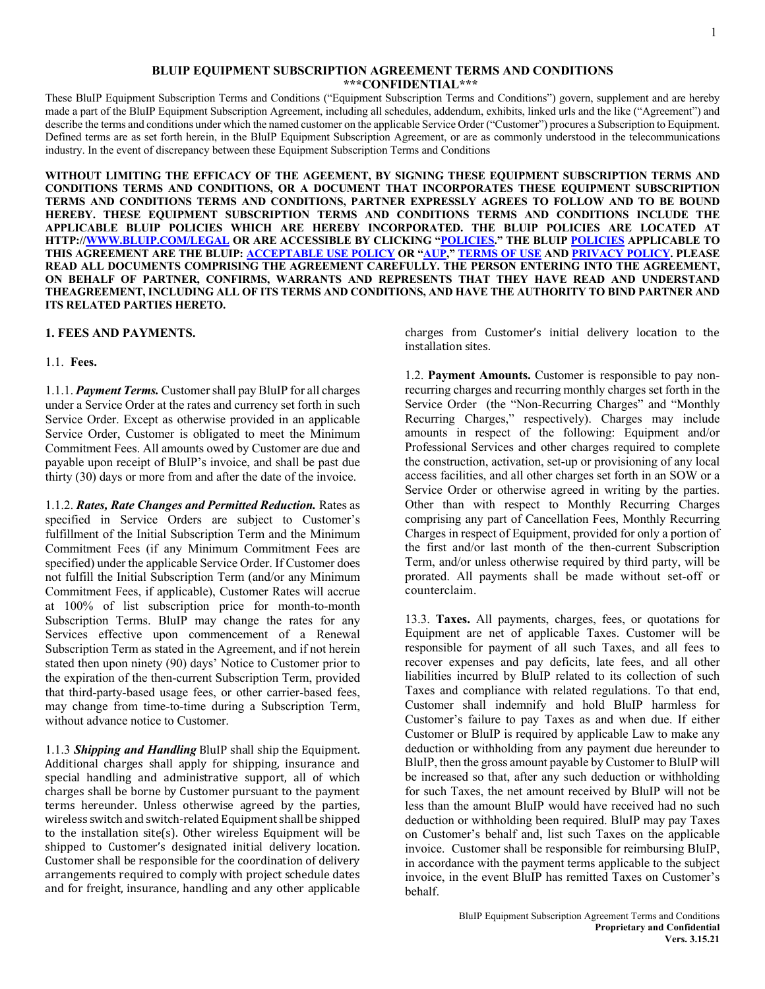#### **BLUIP EQUIPMENT SUBSCRIPTION AGREEMENT TERMS AND CONDITIONS \*\*\*CONFIDENTIAL\*\*\***

These BluIP Equipment Subscription Terms and Conditions ("Equipment Subscription Terms and Conditions") govern, supplement and are hereby made a part of the BluIP Equipment Subscription Agreement, including all schedules, addendum, exhibits, linked urls and the like ("Agreement") and describe the terms and conditions under which the named customer on the applicable Service Order ("Customer") procures a Subscription to Equipment. Defined terms are as set forth herein, in the BluIP Equipment Subscription Agreement, or are as commonly understood in the telecommunications industry. In the event of discrepancy between these Equipment Subscription Terms and Conditions

**WITHOUT LIMITING THE EFFICACY OF THE AGEEMENT, BY SIGNING THESE EQUIPMENT SUBSCRIPTION TERMS AND CONDITIONS TERMS AND CONDITIONS, OR A DOCUMENT THAT INCORPORATES THESE EQUIPMENT SUBSCRIPTION TERMS AND CONDITIONS TERMS AND CONDITIONS, PARTNER EXPRESSLY AGREES TO FOLLOW AND TO BE BOUND HEREBY. THESE EQUIPMENT SUBSCRIPTION TERMS AND CONDITIONS TERMS AND CONDITIONS INCLUDE THE APPLICABLE BLUIP POLICIES WHICH ARE HEREBY INCORPORATED. THE BLUIP POLICIES ARE LOCATED AT HTTP://WWW.BLUIP.COM/LEGAL OR ARE ACCESSIBLE BY CLICKING "POLICIES." THE BLUIP POLICIES APPLICABLE TO THIS AGREEMENT ARE THE BLUIP: ACCEPTABLE USE POLICY OR "AUP," TERMS OF USE AND PRIVACY POLICY. PLEASE READ ALL DOCUMENTS COMPRISING THE AGREEMENT CAREFULLY. THE PERSON ENTERING INTO THE AGREEMENT, ON BEHALF OF PARTNER, CONFIRMS, WARRANTS AND REPRESENTS THAT THEY HAVE READ AND UNDERSTAND THEAGREEMENT, INCLUDING ALL OF ITS TERMS AND CONDITIONS, AND HAVE THE AUTHORITY TO BIND PARTNER AND ITS RELATED PARTIES HERETO.**

#### **1. FEES AND PAYMENTS.**

1.1. **Fees.**

1.1.1. *Payment Terms.* Customer shall pay BluIP for all charges under a Service Order at the rates and currency set forth in such Service Order. Except as otherwise provided in an applicable Service Order, Customer is obligated to meet the Minimum Commitment Fees. All amounts owed by Customer are due and payable upon receipt of BluIP's invoice, and shall be past due thirty (30) days or more from and after the date of the invoice.

1.1.2. *Rates, Rate Changes and Permitted Reduction.* Rates as specified in Service Orders are subject to Customer's fulfillment of the Initial Subscription Term and the Minimum Commitment Fees (if any Minimum Commitment Fees are specified) under the applicable Service Order. If Customer does not fulfill the Initial Subscription Term (and/or any Minimum Commitment Fees, if applicable), Customer Rates will accrue at 100% of list subscription price for month-to-month Subscription Terms. BluIP may change the rates for any Services effective upon commencement of a Renewal Subscription Term as stated in the Agreement, and if not herein stated then upon ninety (90) days' Notice to Customer prior to the expiration of the then-current Subscription Term, provided that third-party-based usage fees, or other carrier-based fees, may change from time-to-time during a Subscription Term, without advance notice to Customer.

1.1.3 *Shipping and Handling* BluIP shall ship the Equipment. Additional charges shall apply for shipping, insurance and special handling and administrative support, all of which charges shall be borne by Customer pursuant to the payment terms hereunder. Unless otherwise agreed by the parties, wireless switch and switch-related Equipment shall be shipped to the installation site(s). Other wireless Equipment will be shipped to Customer's designated initial delivery location. Customer shall be responsible for the coordination of delivery arrangements required to comply with project schedule dates and for freight, insurance, handling and any other applicable

charges from Customer's initial delivery location to the installation sites.

1.2. **Payment Amounts.** Customer is responsible to pay nonrecurring charges and recurring monthly charges set forth in the Service Order (the "Non-Recurring Charges" and "Monthly Recurring Charges," respectively). Charges may include amounts in respect of the following: Equipment and/or Professional Services and other charges required to complete the construction, activation, set-up or provisioning of any local access facilities, and all other charges set forth in an SOW or a Service Order or otherwise agreed in writing by the parties. Other than with respect to Monthly Recurring Charges comprising any part of Cancellation Fees, Monthly Recurring Charges in respect of Equipment, provided for only a portion of the first and/or last month of the then-current Subscription Term, and/or unless otherwise required by third party, will be prorated. All payments shall be made without set-off or counterclaim.

13.3. **Taxes.** All payments, charges, fees, or quotations for Equipment are net of applicable Taxes. Customer will be responsible for payment of all such Taxes, and all fees to recover expenses and pay deficits, late fees, and all other liabilities incurred by BluIP related to its collection of such Taxes and compliance with related regulations. To that end, Customer shall indemnify and hold BluIP harmless for Customer's failure to pay Taxes as and when due. If either Customer or BluIP is required by applicable Law to make any deduction or withholding from any payment due hereunder to BluIP, then the gross amount payable by Customer to BluIP will be increased so that, after any such deduction or withholding for such Taxes, the net amount received by BluIP will not be less than the amount BluIP would have received had no such deduction or withholding been required. BluIP may pay Taxes on Customer's behalf and, list such Taxes on the applicable invoice. Customer shall be responsible for reimbursing BluIP, in accordance with the payment terms applicable to the subject invoice, in the event BluIP has remitted Taxes on Customer's behalf.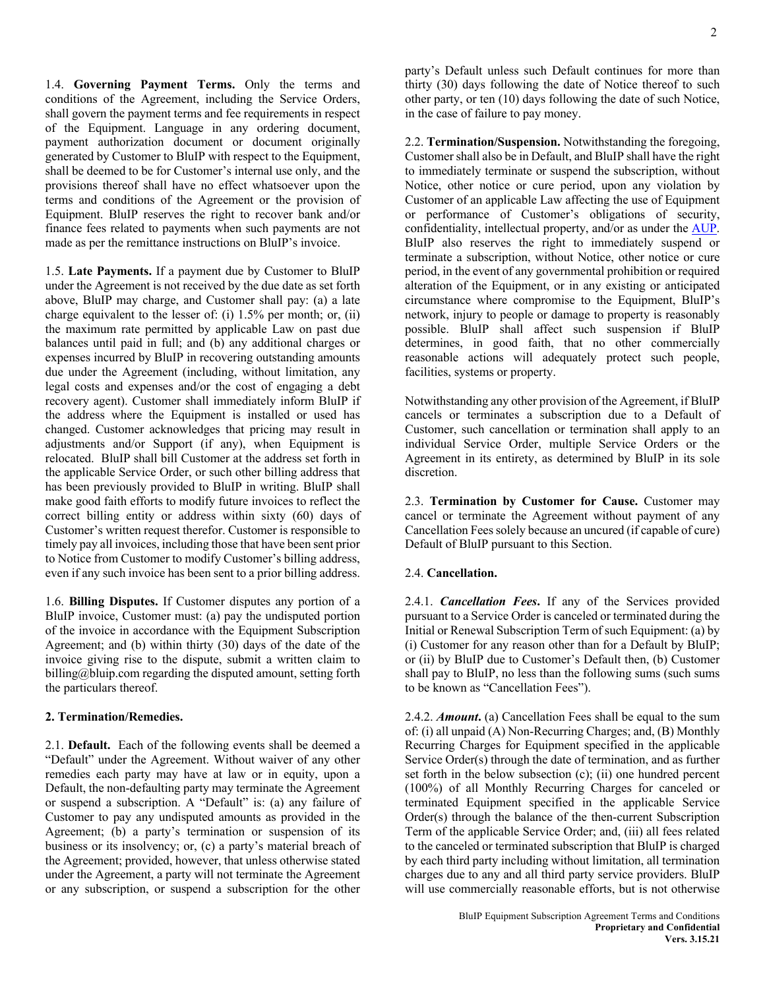1.4. **Governing Payment Terms.** Only the terms and conditions of the Agreement, including the Service Orders, shall govern the payment terms and fee requirements in respect of the Equipment. Language in any ordering document, payment authorization document or document originally generated by Customer to BluIP with respect to the Equipment, shall be deemed to be for Customer's internal use only, and the provisions thereof shall have no effect whatsoever upon the terms and conditions of the Agreement or the provision of Equipment. BluIP reserves the right to recover bank and/or finance fees related to payments when such payments are not made as per the remittance instructions on BluIP's invoice.

1.5. **Late Payments.** If a payment due by Customer to BluIP under the Agreement is not received by the due date as set forth above, BluIP may charge, and Customer shall pay: (a) a late charge equivalent to the lesser of: (i) 1.5% per month; or, (ii) the maximum rate permitted by applicable Law on past due balances until paid in full; and (b) any additional charges or expenses incurred by BluIP in recovering outstanding amounts due under the Agreement (including, without limitation, any legal costs and expenses and/or the cost of engaging a debt recovery agent). Customer shall immediately inform BluIP if the address where the Equipment is installed or used has changed. Customer acknowledges that pricing may result in adjustments and/or Support (if any), when Equipment is relocated. BluIP shall bill Customer at the address set forth in the applicable Service Order, or such other billing address that has been previously provided to BluIP in writing. BluIP shall make good faith efforts to modify future invoices to reflect the correct billing entity or address within sixty (60) days of Customer's written request therefor. Customer is responsible to timely pay all invoices, including those that have been sent prior to Notice from Customer to modify Customer's billing address, even if any such invoice has been sent to a prior billing address.

1.6. **Billing Disputes.** If Customer disputes any portion of a BluIP invoice, Customer must: (a) pay the undisputed portion of the invoice in accordance with the Equipment Subscription Agreement; and (b) within thirty (30) days of the date of the invoice giving rise to the dispute, submit a written claim to billing@bluip.com regarding the disputed amount, setting forth the particulars thereof.

# **2. Termination/Remedies.**

2.1. **Default.** Each of the following events shall be deemed a "Default" under the Agreement. Without waiver of any other remedies each party may have at law or in equity, upon a Default, the non-defaulting party may terminate the Agreement or suspend a subscription. A "Default" is: (a) any failure of Customer to pay any undisputed amounts as provided in the Agreement; (b) a party's termination or suspension of its business or its insolvency; or, (c) a party's material breach of the Agreement; provided, however, that unless otherwise stated under the Agreement, a party will not terminate the Agreement or any subscription, or suspend a subscription for the other

party's Default unless such Default continues for more than thirty (30) days following the date of Notice thereof to such other party, or ten (10) days following the date of such Notice, in the case of failure to pay money.

2.2. **Termination/Suspension.** Notwithstanding the foregoing, Customer shall also be in Default, and BluIP shall have the right to immediately terminate or suspend the subscription, without Notice, other notice or cure period, upon any violation by Customer of an applicable Law affecting the use of Equipment or performance of Customer's obligations of security, confidentiality, intellectual property, and/or as under the AUP. BluIP also reserves the right to immediately suspend or terminate a subscription, without Notice, other notice or cure period, in the event of any governmental prohibition or required alteration of the Equipment, or in any existing or anticipated circumstance where compromise to the Equipment, BluIP's network, injury to people or damage to property is reasonably possible. BluIP shall affect such suspension if BluIP determines, in good faith, that no other commercially reasonable actions will adequately protect such people, facilities, systems or property.

Notwithstanding any other provision of the Agreement, if BluIP cancels or terminates a subscription due to a Default of Customer, such cancellation or termination shall apply to an individual Service Order, multiple Service Orders or the Agreement in its entirety, as determined by BluIP in its sole discretion.

2.3. **Termination by Customer for Cause.** Customer may cancel or terminate the Agreement without payment of any Cancellation Fees solely because an uncured (if capable of cure) Default of BluIP pursuant to this Section.

# 2.4. **Cancellation.**

2.4.1. *Cancellation Fees***.** If any of the Services provided pursuant to a Service Order is canceled or terminated during the Initial or Renewal Subscription Term of such Equipment: (a) by (i) Customer for any reason other than for a Default by BluIP; or (ii) by BluIP due to Customer's Default then, (b) Customer shall pay to BluIP, no less than the following sums (such sums to be known as "Cancellation Fees").

2.4.2. *Amount***.** (a) Cancellation Fees shall be equal to the sum of: (i) all unpaid (A) Non-Recurring Charges; and, (B) Monthly Recurring Charges for Equipment specified in the applicable Service Order(s) through the date of termination, and as further set forth in the below subsection (c); (ii) one hundred percent (100%) of all Monthly Recurring Charges for canceled or terminated Equipment specified in the applicable Service Order(s) through the balance of the then-current Subscription Term of the applicable Service Order; and, (iii) all fees related to the canceled or terminated subscription that BluIP is charged by each third party including without limitation, all termination charges due to any and all third party service providers. BluIP will use commercially reasonable efforts, but is not otherwise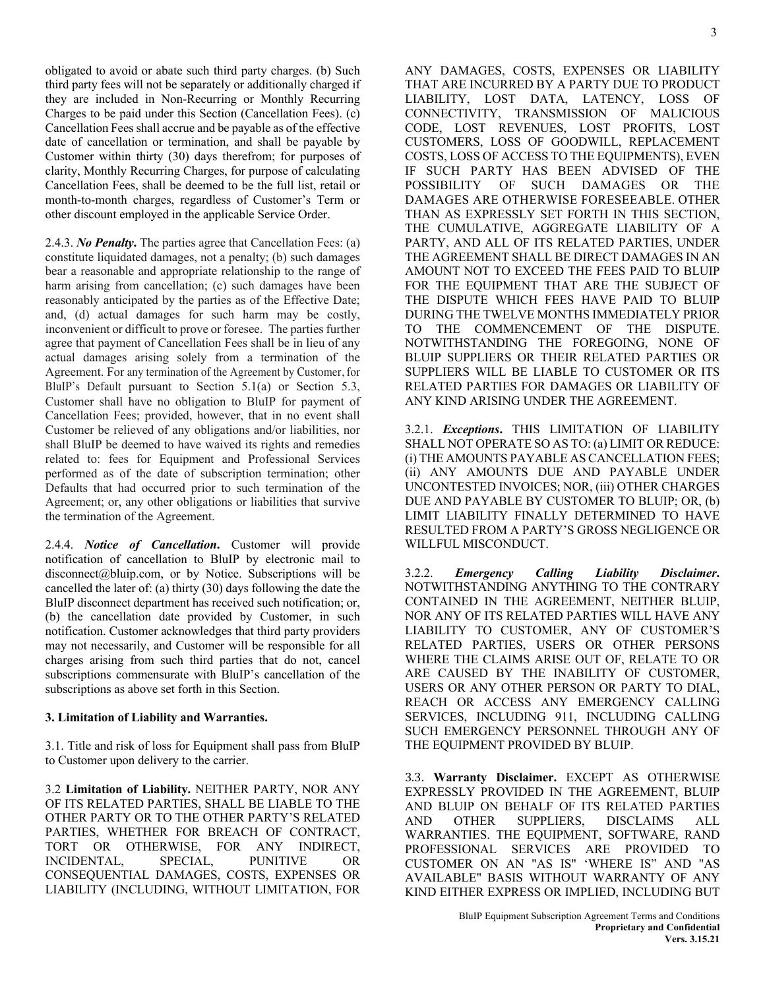obligated to avoid or abate such third party charges. (b) Such third party fees will not be separately or additionally charged if they are included in Non-Recurring or Monthly Recurring Charges to be paid under this Section (Cancellation Fees). (c) Cancellation Feesshall accrue and be payable as of the effective date of cancellation or termination, and shall be payable by Customer within thirty (30) days therefrom; for purposes of clarity, Monthly Recurring Charges, for purpose of calculating Cancellation Fees, shall be deemed to be the full list, retail or month-to-month charges, regardless of Customer's Term or other discount employed in the applicable Service Order.

2.4.3. *No Penalty***.** The parties agree that Cancellation Fees: (a) constitute liquidated damages, not a penalty; (b) such damages bear a reasonable and appropriate relationship to the range of harm arising from cancellation; (c) such damages have been reasonably anticipated by the parties as of the Effective Date; and, (d) actual damages for such harm may be costly, inconvenient or difficult to prove or foresee. The parties further agree that payment of Cancellation Fees shall be in lieu of any actual damages arising solely from a termination of the Agreement. For any termination of the Agreement by Customer, for BluIP's Default pursuant to Section 5.1(a) or Section 5.3, Customer shall have no obligation to BluIP for payment of Cancellation Fees; provided, however, that in no event shall Customer be relieved of any obligations and/or liabilities, nor shall BluIP be deemed to have waived its rights and remedies related to: fees for Equipment and Professional Services performed as of the date of subscription termination; other Defaults that had occurred prior to such termination of the Agreement; or, any other obligations or liabilities that survive the termination of the Agreement.

2.4.4. *Notice of Cancellation*. Customer will provide notification of cancellation to BluIP by electronic mail to disconnect@bluip.com, or by Notice. Subscriptions will be cancelled the later of: (a) thirty (30) days following the date the BluIP disconnect department has received such notification; or, (b) the cancellation date provided by Customer, in such notification. Customer acknowledges that third party providers may not necessarily, and Customer will be responsible for all charges arising from such third parties that do not, cancel subscriptions commensurate with BluIP's cancellation of the subscriptions as above set forth in this Section.

# **3. Limitation of Liability and Warranties.**

3.1. Title and risk of loss for Equipment shall pass from BluIP to Customer upon delivery to the carrier.

3.2 **Limitation of Liability.** NEITHER PARTY, NOR ANY OF ITS RELATED PARTIES, SHALL BE LIABLE TO THE OTHER PARTY OR TO THE OTHER PARTY'S RELATED PARTIES, WHETHER FOR BREACH OF CONTRACT, TORT OR OTHERWISE, FOR ANY INDIRECT, INCIDENTAL, SPECIAL, PUNITIVE OR CONSEQUENTIAL DAMAGES, COSTS, EXPENSES OR LIABILITY (INCLUDING, WITHOUT LIMITATION, FOR ANY DAMAGES, COSTS, EXPENSES OR LIABILITY THAT ARE INCURRED BY A PARTY DUE TO PRODUCT LIABILITY, LOST DATA, LATENCY, LOSS OF CONNECTIVITY, TRANSMISSION OF MALICIOUS CODE, LOST REVENUES, LOST PROFITS, LOST CUSTOMERS, LOSS OF GOODWILL, REPLACEMENT COSTS, LOSS OF ACCESS TO THE EQUIPMENTS), EVEN IF SUCH PARTY HAS BEEN ADVISED OF THE POSSIBILITY OF SUCH DAMAGES OR THE DAMAGES ARE OTHERWISE FORESEEABLE. OTHER THAN AS EXPRESSLY SET FORTH IN THIS SECTION, THE CUMULATIVE, AGGREGATE LIABILITY OF A PARTY, AND ALL OF ITS RELATED PARTIES, UNDER THE AGREEMENT SHALL BE DIRECT DAMAGES IN AN AMOUNT NOT TO EXCEED THE FEES PAID TO BLUIP FOR THE EQUIPMENT THAT ARE THE SUBJECT OF THE DISPUTE WHICH FEES HAVE PAID TO BLUIP DURING THE TWELVE MONTHS IMMEDIATELY PRIOR TO THE COMMENCEMENT OF THE DISPUTE. NOTWITHSTANDING THE FOREGOING, NONE OF BLUIP SUPPLIERS OR THEIR RELATED PARTIES OR SUPPLIERS WILL BE LIABLE TO CUSTOMER OR ITS RELATED PARTIES FOR DAMAGES OR LIABILITY OF ANY KIND ARISING UNDER THE AGREEMENT.

3.2.1. *Exceptions***.** THIS LIMITATION OF LIABILITY SHALL NOT OPERATE SO AS TO: (a) LIMIT OR REDUCE: (i) THE AMOUNTS PAYABLE AS CANCELLATION FEES; (ii) ANY AMOUNTS DUE AND PAYABLE UNDER UNCONTESTED INVOICES; NOR, (iii) OTHER CHARGES DUE AND PAYABLE BY CUSTOMER TO BLUIP; OR, (b) LIMIT LIABILITY FINALLY DETERMINED TO HAVE RESULTED FROM A PARTY'S GROSS NEGLIGENCE OR WILLFUL MISCONDUCT.

3.2.2. *Emergency Calling Liability Disclaimer***.** NOTWITHSTANDING ANYTHING TO THE CONTRARY CONTAINED IN THE AGREEMENT, NEITHER BLUIP, NOR ANY OF ITS RELATED PARTIES WILL HAVE ANY LIABILITY TO CUSTOMER, ANY OF CUSTOMER'S RELATED PARTIES, USERS OR OTHER PERSONS WHERE THE CLAIMS ARISE OUT OF, RELATE TO OR ARE CAUSED BY THE INABILITY OF CUSTOMER, USERS OR ANY OTHER PERSON OR PARTY TO DIAL, REACH OR ACCESS ANY EMERGENCY CALLING SERVICES, INCLUDING 911, INCLUDING CALLING SUCH EMERGENCY PERSONNEL THROUGH ANY OF THE EQUIPMENT PROVIDED BY BLUIP.

3.3. **Warranty Disclaimer.** EXCEPT AS OTHERWISE EXPRESSLY PROVIDED IN THE AGREEMENT, BLUIP AND BLUIP ON BEHALF OF ITS RELATED PARTIES AND OTHER SUPPLIERS, DISCLAIMS ALL WARRANTIES. THE EQUIPMENT, SOFTWARE, RAND PROFESSIONAL SERVICES ARE PROVIDED TO CUSTOMER ON AN "AS IS" 'WHERE IS" AND "AS AVAILABLE" BASIS WITHOUT WARRANTY OF ANY KIND EITHER EXPRESS OR IMPLIED, INCLUDING BUT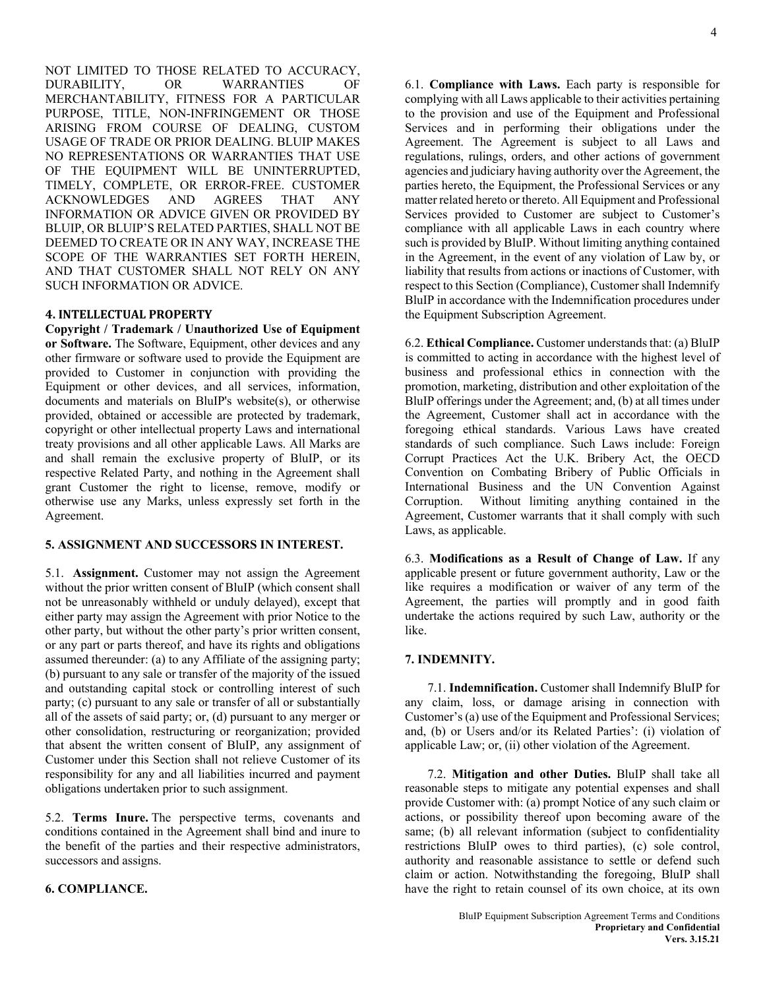NOT LIMITED TO THOSE RELATED TO ACCURACY, DURABILITY, OR WARRANTIES OF MERCHANTABILITY, FITNESS FOR A PARTICULAR PURPOSE, TITLE, NON-INFRINGEMENT OR THOSE ARISING FROM COURSE OF DEALING, CUSTOM USAGE OF TRADE OR PRIOR DEALING. BLUIP MAKES NO REPRESENTATIONS OR WARRANTIES THAT USE OF THE EQUIPMENT WILL BE UNINTERRUPTED, TIMELY, COMPLETE, OR ERROR-FREE. CUSTOMER ACKNOWLEDGES AND AGREES THAT ANY INFORMATION OR ADVICE GIVEN OR PROVIDED BY BLUIP, OR BLUIP'S RELATED PARTIES, SHALL NOT BE DEEMED TO CREATE OR IN ANY WAY, INCREASE THE SCOPE OF THE WARRANTIES SET FORTH HEREIN, AND THAT CUSTOMER SHALL NOT RELY ON ANY SUCH INFORMATION OR ADVICE.

#### **4. INTELLECTUAL PROPERTY**

**Copyright / Trademark / Unauthorized Use of Equipment or Software.** The Software, Equipment, other devices and any other firmware or software used to provide the Equipment are provided to Customer in conjunction with providing the Equipment or other devices, and all services, information, documents and materials on BluIP's website(s), or otherwise provided, obtained or accessible are protected by trademark, copyright or other intellectual property Laws and international treaty provisions and all other applicable Laws. All Marks are and shall remain the exclusive property of BluIP, or its respective Related Party, and nothing in the Agreement shall grant Customer the right to license, remove, modify or otherwise use any Marks, unless expressly set forth in the Agreement.

### **5. ASSIGNMENT AND SUCCESSORS IN INTEREST.**

5.1. **Assignment.** Customer may not assign the Agreement without the prior written consent of BluIP (which consent shall not be unreasonably withheld or unduly delayed), except that either party may assign the Agreement with prior Notice to the other party, but without the other party's prior written consent, or any part or parts thereof, and have its rights and obligations assumed thereunder: (a) to any Affiliate of the assigning party; (b) pursuant to any sale or transfer of the majority of the issued and outstanding capital stock or controlling interest of such party; (c) pursuant to any sale or transfer of all or substantially all of the assets of said party; or, (d) pursuant to any merger or other consolidation, restructuring or reorganization; provided that absent the written consent of BluIP, any assignment of Customer under this Section shall not relieve Customer of its responsibility for any and all liabilities incurred and payment obligations undertaken prior to such assignment.

5.2. **Terms Inure.** The perspective terms, covenants and conditions contained in the Agreement shall bind and inure to the benefit of the parties and their respective administrators, successors and assigns.

**6. COMPLIANCE.**

6.1. **Compliance with Laws.** Each party is responsible for complying with all Laws applicable to their activities pertaining to the provision and use of the Equipment and Professional Services and in performing their obligations under the Agreement. The Agreement is subject to all Laws and regulations, rulings, orders, and other actions of government agencies and judiciary having authority over the Agreement, the parties hereto, the Equipment, the Professional Services or any matter related hereto or thereto. All Equipment and Professional Services provided to Customer are subject to Customer's compliance with all applicable Laws in each country where such is provided by BluIP. Without limiting anything contained in the Agreement, in the event of any violation of Law by, or liability that results from actions or inactions of Customer, with respect to this Section (Compliance), Customer shall Indemnify BluIP in accordance with the Indemnification procedures under the Equipment Subscription Agreement.

6.2. **Ethical Compliance.** Customer understands that: (a) BluIP is committed to acting in accordance with the highest level of business and professional ethics in connection with the promotion, marketing, distribution and other exploitation of the BluIP offerings under the Agreement; and, (b) at all times under the Agreement, Customer shall act in accordance with the foregoing ethical standards. Various Laws have created standards of such compliance. Such Laws include: Foreign Corrupt Practices Act the U.K. Bribery Act, the OECD Convention on Combating Bribery of Public Officials in International Business and the UN Convention Against Corruption. Without limiting anything contained in the Agreement, Customer warrants that it shall comply with such Laws, as applicable.

6.3. **Modifications as a Result of Change of Law.** If any applicable present or future government authority, Law or the like requires a modification or waiver of any term of the Agreement, the parties will promptly and in good faith undertake the actions required by such Law, authority or the like.

# **7. INDEMNITY.**

7.1. **Indemnification.** Customer shall Indemnify BluIP for any claim, loss, or damage arising in connection with Customer's (a) use of the Equipment and Professional Services; and, (b) or Users and/or its Related Parties': (i) violation of applicable Law; or, (ii) other violation of the Agreement.

7.2. **Mitigation and other Duties.** BluIP shall take all reasonable steps to mitigate any potential expenses and shall provide Customer with: (a) prompt Notice of any such claim or actions, or possibility thereof upon becoming aware of the same; (b) all relevant information (subject to confidentiality restrictions BluIP owes to third parties), (c) sole control, authority and reasonable assistance to settle or defend such claim or action. Notwithstanding the foregoing, BluIP shall have the right to retain counsel of its own choice, at its own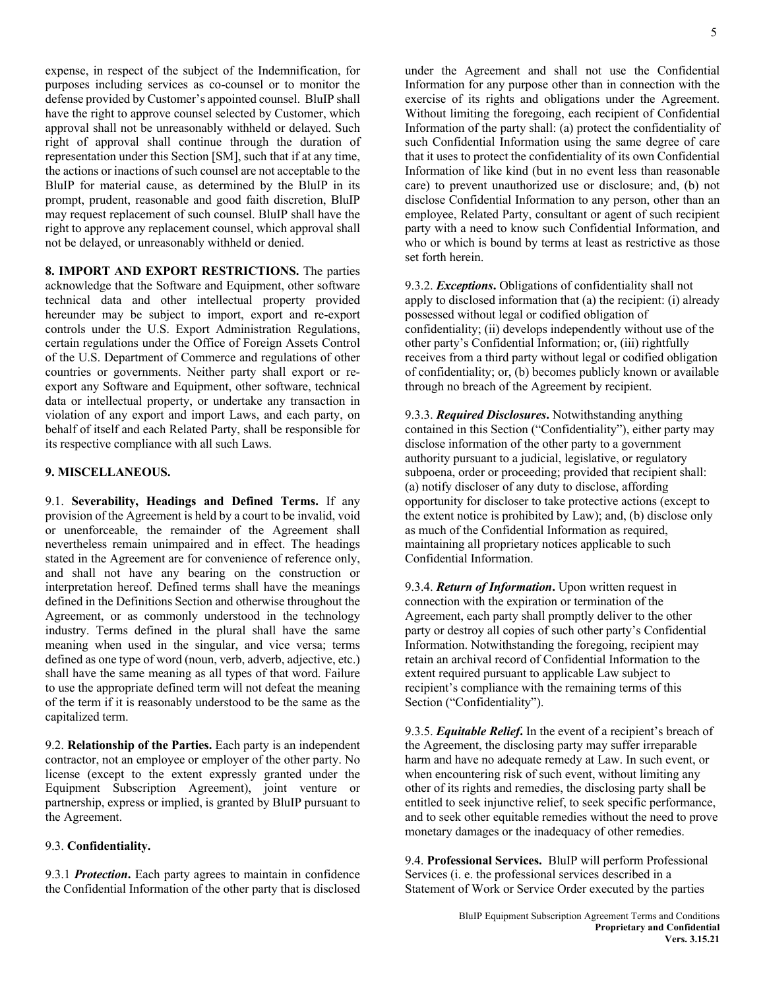expense, in respect of the subject of the Indemnification, for purposes including services as co-counsel or to monitor the defense provided by Customer's appointed counsel. BluIP shall have the right to approve counsel selected by Customer, which approval shall not be unreasonably withheld or delayed. Such right of approval shall continue through the duration of representation under this Section [SM], such that if at any time, the actions or inactions of such counsel are not acceptable to the BluIP for material cause, as determined by the BluIP in its prompt, prudent, reasonable and good faith discretion, BluIP may request replacement of such counsel. BluIP shall have the right to approve any replacement counsel, which approval shall not be delayed, or unreasonably withheld or denied.

**8. IMPORT AND EXPORT RESTRICTIONS.** The parties acknowledge that the Software and Equipment, other software technical data and other intellectual property provided hereunder may be subject to import, export and re-export controls under the U.S. Export Administration Regulations, certain regulations under the Office of Foreign Assets Control of the U.S. Department of Commerce and regulations of other countries or governments. Neither party shall export or reexport any Software and Equipment, other software, technical data or intellectual property, or undertake any transaction in violation of any export and import Laws, and each party, on behalf of itself and each Related Party, shall be responsible for its respective compliance with all such Laws.

# **9. MISCELLANEOUS.**

9.1. **Severability, Headings and Defined Terms.** If any provision of the Agreement is held by a court to be invalid, void or unenforceable, the remainder of the Agreement shall nevertheless remain unimpaired and in effect. The headings stated in the Agreement are for convenience of reference only, and shall not have any bearing on the construction or interpretation hereof. Defined terms shall have the meanings defined in the Definitions Section and otherwise throughout the Agreement, or as commonly understood in the technology industry. Terms defined in the plural shall have the same meaning when used in the singular, and vice versa; terms defined as one type of word (noun, verb, adverb, adjective, etc.) shall have the same meaning as all types of that word. Failure to use the appropriate defined term will not defeat the meaning of the term if it is reasonably understood to be the same as the capitalized term.

9.2. **Relationship of the Parties.** Each party is an independent contractor, not an employee or employer of the other party. No license (except to the extent expressly granted under the Equipment Subscription Agreement), joint venture or partnership, express or implied, is granted by BluIP pursuant to the Agreement.

#### 9.3. **Confidentiality.**

9.3.1 *Protection***.** Each party agrees to maintain in confidence the Confidential Information of the other party that is disclosed under the Agreement and shall not use the Confidential Information for any purpose other than in connection with the exercise of its rights and obligations under the Agreement. Without limiting the foregoing, each recipient of Confidential Information of the party shall: (a) protect the confidentiality of such Confidential Information using the same degree of care that it uses to protect the confidentiality of its own Confidential Information of like kind (but in no event less than reasonable care) to prevent unauthorized use or disclosure; and, (b) not disclose Confidential Information to any person, other than an employee, Related Party, consultant or agent of such recipient party with a need to know such Confidential Information, and who or which is bound by terms at least as restrictive as those set forth herein.

9.3.2. *Exceptions***.** Obligations of confidentiality shall not apply to disclosed information that (a) the recipient: (i) already possessed without legal or codified obligation of confidentiality; (ii) develops independently without use of the other party's Confidential Information; or, (iii) rightfully receives from a third party without legal or codified obligation of confidentiality; or, (b) becomes publicly known or available through no breach of the Agreement by recipient.

9.3.3. *Required Disclosures***.** Notwithstanding anything contained in this Section ("Confidentiality"), either party may disclose information of the other party to a government authority pursuant to a judicial, legislative, or regulatory subpoena, order or proceeding; provided that recipient shall: (a) notify discloser of any duty to disclose, affording opportunity for discloser to take protective actions (except to the extent notice is prohibited by Law); and, (b) disclose only as much of the Confidential Information as required, maintaining all proprietary notices applicable to such Confidential Information.

9.3.4. *Return of Information***.** Upon written request in connection with the expiration or termination of the Agreement, each party shall promptly deliver to the other party or destroy all copies of such other party's Confidential Information. Notwithstanding the foregoing, recipient may retain an archival record of Confidential Information to the extent required pursuant to applicable Law subject to recipient's compliance with the remaining terms of this Section ("Confidentiality").

9.3.5. *Equitable Relief***.** In the event of a recipient's breach of the Agreement, the disclosing party may suffer irreparable harm and have no adequate remedy at Law. In such event, or when encountering risk of such event, without limiting any other of its rights and remedies, the disclosing party shall be entitled to seek injunctive relief, to seek specific performance, and to seek other equitable remedies without the need to prove monetary damages or the inadequacy of other remedies.

9.4. **Professional Services.** BluIP will perform Professional Services (i. e. the professional services described in a Statement of Work or Service Order executed by the parties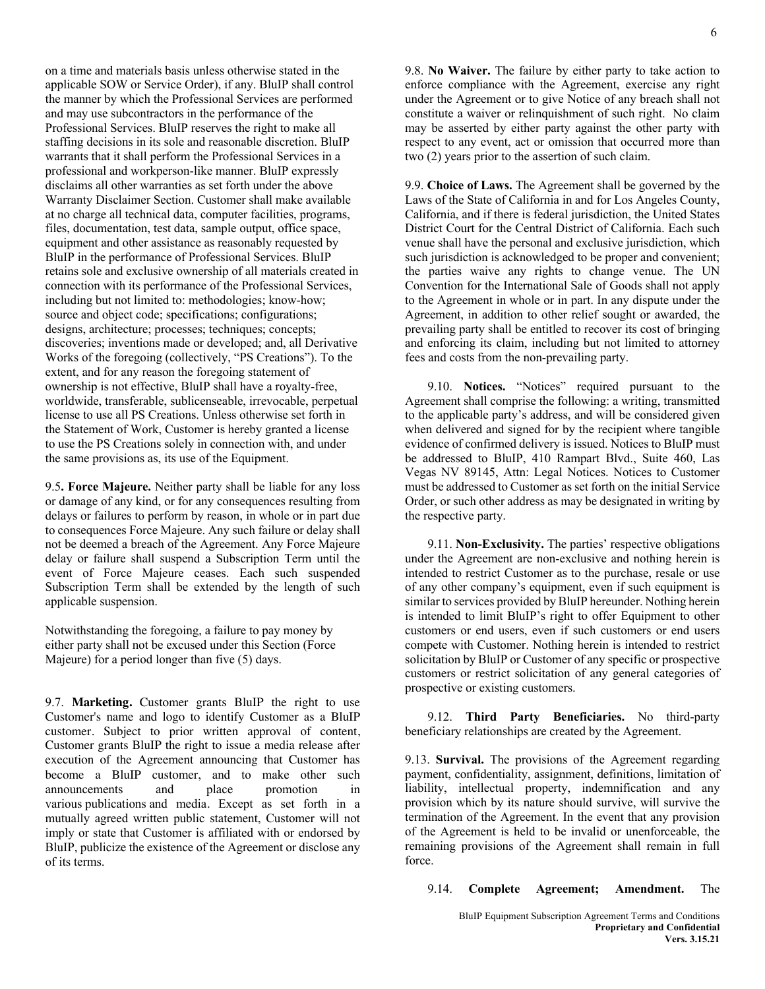on a time and materials basis unless otherwise stated in the applicable SOW or Service Order), if any. BluIP shall control the manner by which the Professional Services are performed and may use subcontractors in the performance of the Professional Services. BluIP reserves the right to make all staffing decisions in its sole and reasonable discretion. BluIP warrants that it shall perform the Professional Services in a professional and workperson-like manner. BluIP expressly disclaims all other warranties as set forth under the above Warranty Disclaimer Section. Customer shall make available at no charge all technical data, computer facilities, programs, files, documentation, test data, sample output, office space, equipment and other assistance as reasonably requested by BluIP in the performance of Professional Services. BluIP retains sole and exclusive ownership of all materials created in connection with its performance of the Professional Services, including but not limited to: methodologies; know-how; source and object code; specifications; configurations; designs, architecture; processes; techniques; concepts; discoveries; inventions made or developed; and, all Derivative Works of the foregoing (collectively, "PS Creations"). To the extent, and for any reason the foregoing statement of ownership is not effective, BluIP shall have a royalty-free, worldwide, transferable, sublicenseable, irrevocable, perpetual license to use all PS Creations. Unless otherwise set forth in the Statement of Work, Customer is hereby granted a license to use the PS Creations solely in connection with, and under the same provisions as, its use of the Equipment.

9.5**. Force Majeure.** Neither party shall be liable for any loss or damage of any kind, or for any consequences resulting from delays or failures to perform by reason, in whole or in part due to consequences Force Majeure. Any such failure or delay shall not be deemed a breach of the Agreement. Any Force Majeure delay or failure shall suspend a Subscription Term until the event of Force Majeure ceases. Each such suspended Subscription Term shall be extended by the length of such applicable suspension.

Notwithstanding the foregoing, a failure to pay money by either party shall not be excused under this Section (Force Majeure) for a period longer than five (5) days.

9.7. **Marketing.** Customer grants BluIP the right to use Customer's name and logo to identify Customer as a BluIP customer. Subject to prior written approval of content, Customer grants BluIP the right to issue a media release after execution of the Agreement announcing that Customer has become a BluIP customer, and to make other such announcements and place promotion in announcements and place promotion in various publications and media. Except as set forth in a mutually agreed written public statement, Customer will not imply or state that Customer is affiliated with or endorsed by BluIP, publicize the existence of the Agreement or disclose any of its terms.

9.8. **No Waiver.** The failure by either party to take action to enforce compliance with the Agreement, exercise any right under the Agreement or to give Notice of any breach shall not constitute a waiver or relinquishment of such right. No claim may be asserted by either party against the other party with respect to any event, act or omission that occurred more than two (2) years prior to the assertion of such claim.

9.9. **Choice of Laws.** The Agreement shall be governed by the Laws of the State of California in and for Los Angeles County, California, and if there is federal jurisdiction, the United States District Court for the Central District of California. Each such venue shall have the personal and exclusive jurisdiction, which such jurisdiction is acknowledged to be proper and convenient; the parties waive any rights to change venue. The UN Convention for the International Sale of Goods shall not apply to the Agreement in whole or in part. In any dispute under the Agreement, in addition to other relief sought or awarded, the prevailing party shall be entitled to recover its cost of bringing and enforcing its claim, including but not limited to attorney fees and costs from the non-prevailing party.

9.10. **Notices.** "Notices" required pursuant to the Agreement shall comprise the following: a writing, transmitted to the applicable party's address, and will be considered given when delivered and signed for by the recipient where tangible evidence of confirmed delivery is issued. Notices to BluIP must be addressed to BluIP, 410 Rampart Blvd., Suite 460, Las Vegas NV 89145, Attn: Legal Notices. Notices to Customer must be addressed to Customer as set forth on the initial Service Order, or such other address as may be designated in writing by the respective party.

9.11. **Non-Exclusivity.** The parties' respective obligations under the Agreement are non-exclusive and nothing herein is intended to restrict Customer as to the purchase, resale or use of any other company's equipment, even if such equipment is similar to services provided by BluIP hereunder. Nothing herein is intended to limit BluIP's right to offer Equipment to other customers or end users, even if such customers or end users compete with Customer. Nothing herein is intended to restrict solicitation by BluIP or Customer of any specific or prospective customers or restrict solicitation of any general categories of prospective or existing customers.

9.12. **Third Party Beneficiaries.** No third-party beneficiary relationships are created by the Agreement.

9.13. **Survival.** The provisions of the Agreement regarding payment, confidentiality, assignment, definitions, limitation of liability, intellectual property, indemnification and any provision which by its nature should survive, will survive the termination of the Agreement. In the event that any provision of the Agreement is held to be invalid or unenforceable, the remaining provisions of the Agreement shall remain in full force.

9.14. **Complete Agreement; Amendment.** The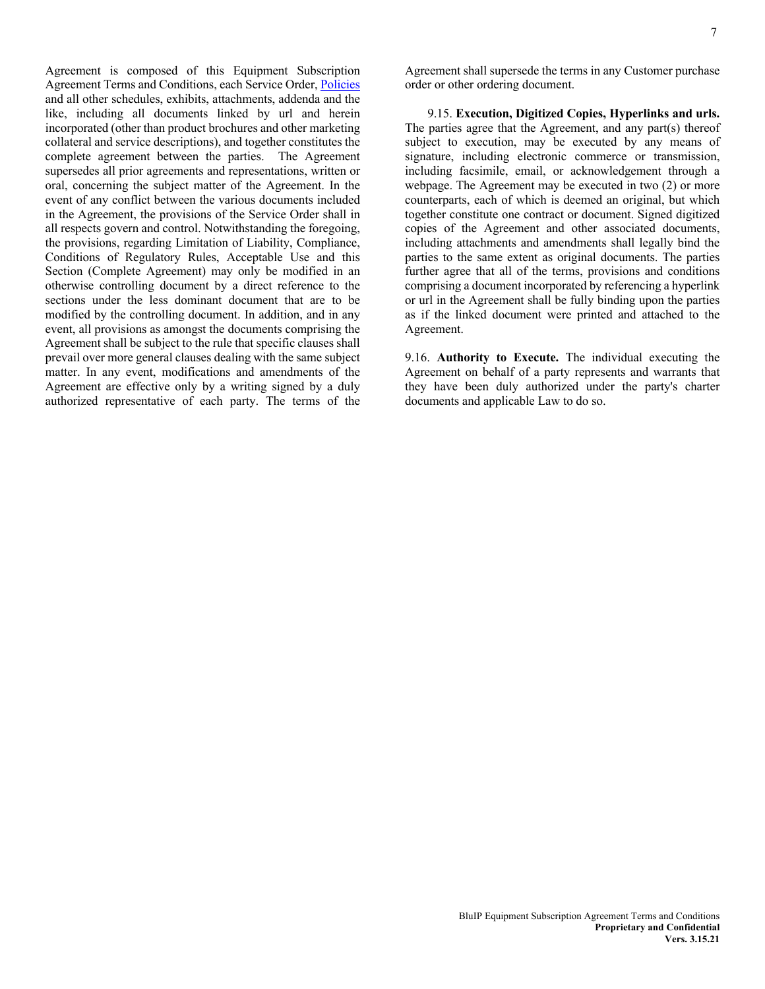Agreement is composed of this Equipment Subscription Agreement Terms and Conditions, each Service Order, Policies and all other schedules, exhibits, attachments, addenda and the like, including all documents linked by url and herein incorporated (other than product brochures and other marketing collateral and service descriptions), and together constitutes the complete agreement between the parties. The Agreement supersedes all prior agreements and representations, written or oral, concerning the subject matter of the Agreement. In the event of any conflict between the various documents included in the Agreement, the provisions of the Service Order shall in all respects govern and control. Notwithstanding the foregoing, the provisions, regarding Limitation of Liability, Compliance, Conditions of Regulatory Rules, Acceptable Use and this Section (Complete Agreement) may only be modified in an otherwise controlling document by a direct reference to the sections under the less dominant document that are to be modified by the controlling document. In addition, and in any event, all provisions as amongst the documents comprising the Agreement shall be subject to the rule that specific clauses shall prevail over more general clauses dealing with the same subject matter. In any event, modifications and amendments of the Agreement are effective only by a writing signed by a duly authorized representative of each party. The terms of the Agreement shall supersede the terms in any Customer purchase order or other ordering document.

9.15. **Execution, Digitized Copies, Hyperlinks and urls.** The parties agree that the Agreement, and any part(s) thereof subject to execution, may be executed by any means of signature, including electronic commerce or transmission, including facsimile, email, or acknowledgement through a webpage. The Agreement may be executed in two (2) or more counterparts, each of which is deemed an original, but which together constitute one contract or document. Signed digitized copies of the Agreement and other associated documents, including attachments and amendments shall legally bind the parties to the same extent as original documents. The parties further agree that all of the terms, provisions and conditions comprising a document incorporated by referencing a hyperlink or url in the Agreement shall be fully binding upon the parties as if the linked document were printed and attached to the Agreement.

9.16. **Authority to Execute.** The individual executing the Agreement on behalf of a party represents and warrants that they have been duly authorized under the party's charter documents and applicable Law to do so.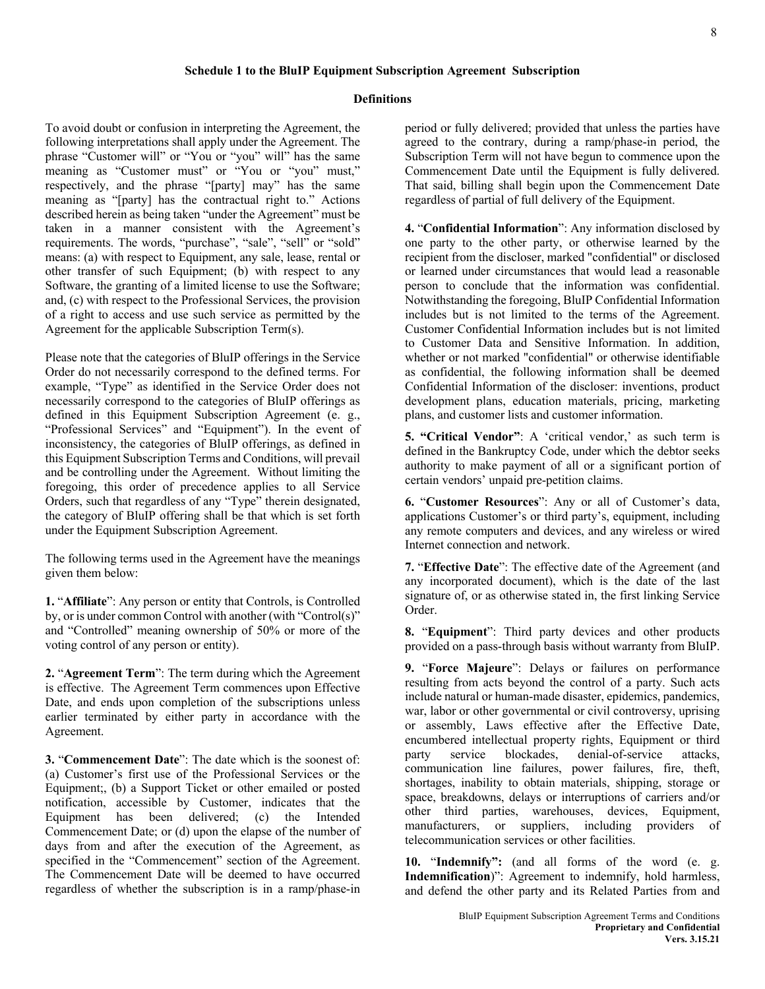# **Definitions**

To avoid doubt or confusion in interpreting the Agreement, the following interpretations shall apply under the Agreement. The phrase "Customer will" or "You or "you" will" has the same meaning as "Customer must" or "You or "you" must," respectively, and the phrase "[party] may" has the same meaning as "[party] has the contractual right to." Actions described herein as being taken "under the Agreement" must be taken in a manner consistent with the Agreement's requirements. The words, "purchase", "sale", "sell" or "sold" means: (a) with respect to Equipment, any sale, lease, rental or other transfer of such Equipment; (b) with respect to any Software, the granting of a limited license to use the Software; and, (c) with respect to the Professional Services, the provision of a right to access and use such service as permitted by the Agreement for the applicable Subscription Term(s).

Please note that the categories of BluIP offerings in the Service Order do not necessarily correspond to the defined terms. For example, "Type" as identified in the Service Order does not necessarily correspond to the categories of BluIP offerings as defined in this Equipment Subscription Agreement (e. g., "Professional Services" and "Equipment"). In the event of inconsistency, the categories of BluIP offerings, as defined in this Equipment Subscription Terms and Conditions, will prevail and be controlling under the Agreement. Without limiting the foregoing, this order of precedence applies to all Service Orders, such that regardless of any "Type" therein designated, the category of BluIP offering shall be that which is set forth under the Equipment Subscription Agreement.

The following terms used in the Agreement have the meanings given them below:

**1.** "**Affiliate**": Any person or entity that Controls, is Controlled by, or is under common Control with another (with "Control(s)" and "Controlled" meaning ownership of 50% or more of the voting control of any person or entity).

**2.** "**Agreement Term**": The term during which the Agreement is effective. The Agreement Term commences upon Effective Date, and ends upon completion of the subscriptions unless earlier terminated by either party in accordance with the Agreement.

**3.** "**Commencement Date**": The date which is the soonest of: (a) Customer's first use of the Professional Services or the Equipment;, (b) a Support Ticket or other emailed or posted notification, accessible by Customer, indicates that the Equipment has been delivered; (c) the Intended Commencement Date; or (d) upon the elapse of the number of days from and after the execution of the Agreement, as specified in the "Commencement" section of the Agreement. The Commencement Date will be deemed to have occurred regardless of whether the subscription is in a ramp/phase-in period or fully delivered; provided that unless the parties have agreed to the contrary, during a ramp/phase-in period, the Subscription Term will not have begun to commence upon the Commencement Date until the Equipment is fully delivered. That said, billing shall begin upon the Commencement Date regardless of partial of full delivery of the Equipment.

**4.** "**Confidential Information**": Any information disclosed by one party to the other party, or otherwise learned by the recipient from the discloser, marked "confidential" or disclosed or learned under circumstances that would lead a reasonable person to conclude that the information was confidential. Notwithstanding the foregoing, BluIP Confidential Information includes but is not limited to the terms of the Agreement. Customer Confidential Information includes but is not limited to Customer Data and Sensitive Information. In addition, whether or not marked "confidential" or otherwise identifiable as confidential, the following information shall be deemed Confidential Information of the discloser: inventions, product development plans, education materials, pricing, marketing plans, and customer lists and customer information.

**5. "Critical Vendor"**: A 'critical vendor,' as such term is defined in the Bankruptcy Code, under which the debtor seeks authority to make payment of all or a significant portion of certain vendors' unpaid pre-petition claims.

**6.** "**Customer Resources**": Any or all of Customer's data, applications Customer's or third party's, equipment, including any remote computers and devices, and any wireless or wired Internet connection and network.

**7.** "**Effective Date**": The effective date of the Agreement (and any incorporated document), which is the date of the last signature of, or as otherwise stated in, the first linking Service Order.

**8.** "**Equipment**": Third party devices and other products provided on a pass-through basis without warranty from BluIP.

**9.** "**Force Majeure**": Delays or failures on performance resulting from acts beyond the control of a party. Such acts include natural or human-made disaster, epidemics, pandemics, war, labor or other governmental or civil controversy, uprising or assembly, Laws effective after the Effective Date, encumbered intellectual property rights, Equipment or third party service blockades, denial-of-service attacks, communication line failures, power failures, fire, theft, shortages, inability to obtain materials, shipping, storage or space, breakdowns, delays or interruptions of carriers and/or other third parties, warehouses, devices, Equipment, manufacturers, or suppliers, including providers of telecommunication services or other facilities.

**10.** "**Indemnify":** (and all forms of the word (e. g. **Indemnification**)": Agreement to indemnify, hold harmless, and defend the other party and its Related Parties from and